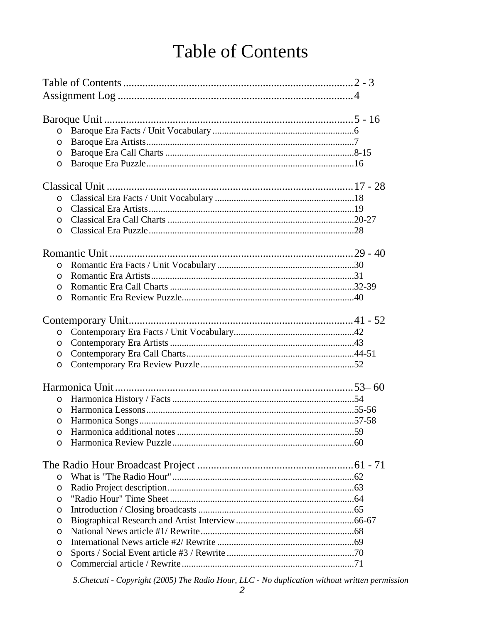## **Table of Contents**

| $\circ$  |  |  |
|----------|--|--|
| $\circ$  |  |  |
| $\circ$  |  |  |
| $\circ$  |  |  |
|          |  |  |
| $\circ$  |  |  |
| $\circ$  |  |  |
| $\circ$  |  |  |
| $\circ$  |  |  |
|          |  |  |
|          |  |  |
| $\circ$  |  |  |
| $\circ$  |  |  |
| $\circ$  |  |  |
| $\circ$  |  |  |
|          |  |  |
| $\circ$  |  |  |
| $\circ$  |  |  |
| $\circ$  |  |  |
| $\circ$  |  |  |
|          |  |  |
|          |  |  |
| $\circ$  |  |  |
| $\Omega$ |  |  |
| $\circ$  |  |  |
| O        |  |  |
| $\circ$  |  |  |
|          |  |  |
| $\circ$  |  |  |
| O        |  |  |
| O        |  |  |
| O        |  |  |
| $\circ$  |  |  |
| O        |  |  |
| $\circ$  |  |  |
| $\circ$  |  |  |
| O        |  |  |

S.Chetcuti - Copyright (2005) The Radio Hour, LLC - No duplication without written permission